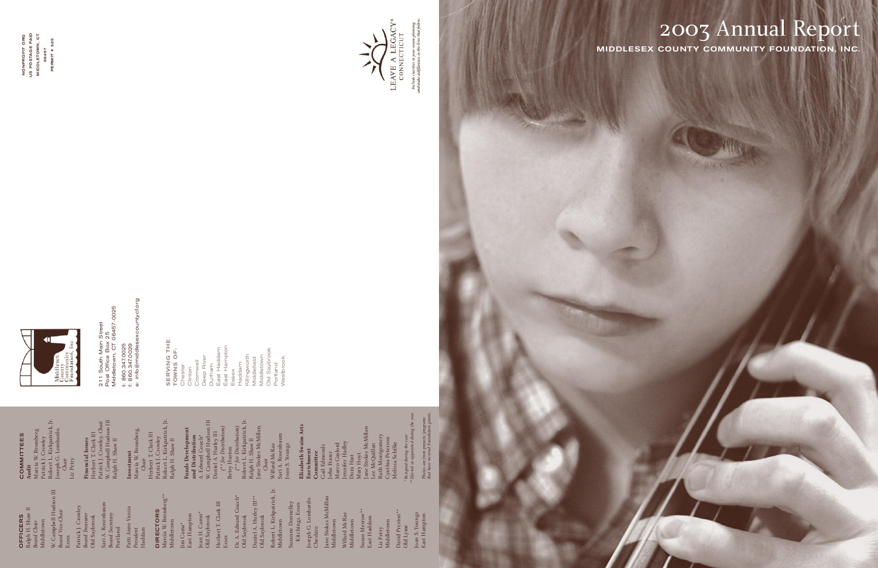# 2003 Annual Report **MIDDLESEX COUNTY COMMUN ITY FOUNDATION, INC.**

211 South Main Street<br>Post Office Box 25<br>Middletown, CT 06457-0025<br>t: 860.347.0025<br>f: 860.347.0029<br>e: info@middlesexcountycf.org Middletown, CT 06457-0025 211 South Main Street Post Office Box 25 t: 860.347.0025

**SERVI<br>TOWN<br>Chester Continues<br>Check Linues<br>Depart Linues<br>Essex<br>Essex<br>Essex NG THE TOWNS OF:**  Chester Clinton Cromwell Deep River Durham East Haddam East Hampton Haddam Killingworth

f: 860.347.0029

e: info@middlesexcountycf.org

W. Campbell Hudson III *Board Vice-Chair* W. Campbell Hudson III<br>Board Vice-Chair<br>Essex Middlefield Middletown Old Saybrook Portland





Include charities in your estate plan<br>and make a difference in the lives that

Dr. A. Edward Couch\*<br>Old Saybrook Daniel A. Hurley  $\mathop{\rm III^{**}}\nolimits$  Old Saybrook ward Couch\* Daniel A. Hurley III\*\* Old Saybrook

Westbrook

Robert L. Kirkpatrick, Jr. Middletown Robert L. Kirkpatrick, Jr.<br>Middletown<br>Suzanne Donnelley<br>Kitchings, Essex<br>Cheshire<br>Cheshire<br>Jane Stokes McMillan<br>Middletown<br>Willard McRae<br>Willard McRae

**O F FIC E RS**  Ralph H. Shaw II *Board Chair* Middletown

Joan S. Youngs<br>East Hampton Joan S. Youngs East Hampton

Patrick J. Crowley *Board Treasurer* Old Saybrook

 $\mathbf{C}$ **O M**

> Sari A. Rosenbaum *Board Secretary* Portland *President* Patti Anne Vassia

Haddam

**Financial Issues**<br>Herbert T. Clark III<br>Patrick J. Crowley, *Chair*<br>W. Campbell Hudson III<br>Ralph H. Shaw II W. Campbell Hudson III Patrick J. Crowley, *Chair* Herbert T. Clark III **Financial Issues** Ralph H. Shaw II

> **DIR E C T O R S** Marcia W. Bromberg\*\* Middletown

Jim Cama\* East Hampton Jean H. Caron\* Old Saybrook Herbert T. Clark III Essex

Old Saybrook

Suzanne Donnelley Kitchings, Essex Joseph G. Lombardo Jane Stokes McMillan Middletown

Willard McRae Middletown

Susan Merrow\*\* Susan Merrow<br>East Haddam East Haddam

**NONPROFIT ORG US POSTAGE PAID MIDDLETOWN, CT NONPROFIT ORG<br>US POSTAGE PAID<br>MIDDLETOWN, CT<br>06457<br>PERMIT # 525** 

Middletown

Liz Petry Old Lyme David Preston\*\*

**Audit**

**MITTE E S** Marcia W. Bromberg Patrick J. Crowley Robert L. Kirkpatrick, Jr. Joseph G. Lombardo, *Chair* Liz Petry

**Investment** Marcia W. Bromberg, **Investment**<br>Marcia W. Bromberg,<br>*Chair*<br>Herbert T. Clark III<br>Patrick J. Crowley<br>Robert L. Kirkpatrick, Jr.<br>Ralph H. Shaw II Herbert T. Clark III Patrick J. Crowley Robert L. Kirkpatrick, Jr. Ralph H. Shaw II

**Funds Development and Distribution** A. Ed ward Couch\* W. Campbell Hudson III

Daniel A. Hurley III *(\*\* for Distribution)* Betsy Huston *(\*\* for Distribution)* Robert L. Kirkpatrick, Jr.

Ralph H. Shaw II Jane Stokes McMillan, *Chair* Willard McRae Sari A. Rosenbaum Joan S. Youngs **Elizabeth Swaim Arts Enrichment**

**Committee** Gail Edmonds John Frazer Marco Gaylord Jennifer Hadley Dora Hast **Elizabeth Swaim Arts**<br> **Enrichment**<br>
Committee<br>
Cail Edmonds<br>
Cail Edmonds<br>
Marco Gaylord<br>
Marco Gaylord<br>
Pennifer Hadley<br>
Dora Hast<br>
Mary Hoyt<br>
Jane Stokes McMillan<br>
Lee McQuillan<br>
Ce McQuillan<br>
Ruth Montgomery<br>
Cynthia Jane Stokes McMillan Lee McQuillan Ruth Montgomery Cynthia Peterson Melissa Schilke

*Resigned during the year*



*Elected or appointed during the year Photos are from projects/programs*  Photos are from projects/program<br>that have received Foundation gra *\**  \*\*



**PERMIT # 525**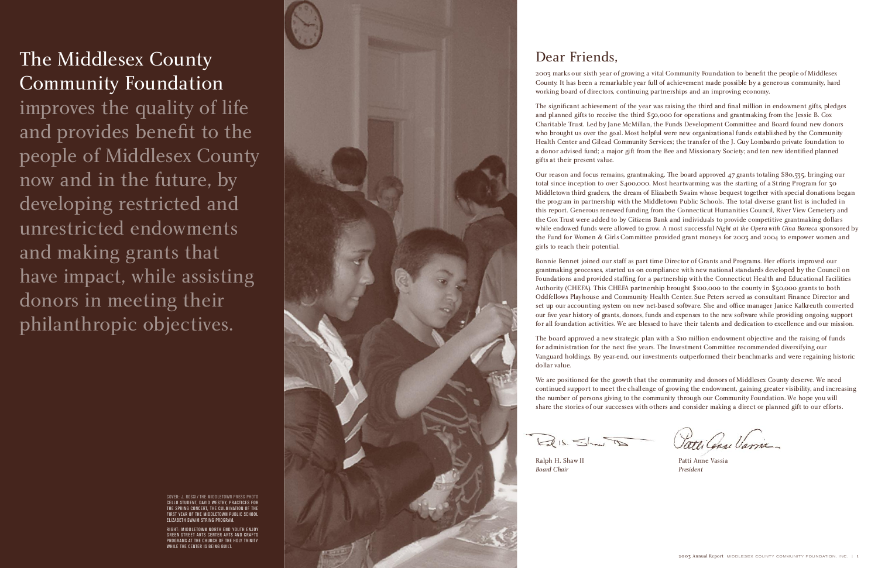# Dear Friends,

2003 marks our sixth year of growing a vital Community Foundation to benefit the people of Middlesex County. It has been a remarkable year full of achievement made possible by a generous community, hard working board of directors, continuing partnerships and an improving economy.

The significant achievement of the year was raising the third and final million in endowment gifts, pledges and planned gifts to receive the third \$50,000 for operations and grantmaking from the Jessie B. Cox Charitable Trust. Led by Jane McMillan, the Funds Development Committee and Board found new donors who brought us over the goal. Most helpful were new organizational funds established by the Community Health Center and Gilead Community Services; the transfer of the J. Guy Lombardo private foundation to a donor advised fund; a major gift from the Bee and Missionary Society; and ten new identified planned gifts at their present value.

Bonnie Bennet joined our staff as part time Director of Grants and Programs. Her efforts improved our grantmaking processes, started us on compliance with new national standards developed by the Council on Foundations and provided staffing for a partnership with the Connecticut Health and Educational Facilities Authority (CHEFA). This CHEFA partnership brought \$100,000 to the county in \$50,000 grants to both Oddfellows Playhouse and Community Health Center. Sue Peters served as consultant Finance Director and set up our accounting system on new net-based software. She and office manager Janice Kalkreuth converted our five year history of grants, donors, funds and expenses to the new software while providing ongoing support for all foundation activities. We are blessed to have their talents and dedication to excellence and our mission.

Our reason and focus remains, grantmaking. The board approved 4 7 grants totaling \$80,535, bringing our total since inception to over \$400,000. Most heartwarming was the starting of a String Program for 30 Middletown third graders, the dream of Elizabeth Swaim whose bequest together with special donations began the program in partnership with the Middletown Public Schools. The total diverse grant list is included in this report. Generous renewed funding from the Connecticut Humanities Council, River View Cemetery and the Cox Trust were added to by Citizens Bank and individuals to provide competitive grantmaking dollars while endowed funds were allowed to grow. A most successful *Night at the Opera with Gina Barreca* sponsored by the Fund for Women & Girls Committee provided grant moneys for 2003 and 2004 to empower women and girls to reach their potential.

Ralph H. Shaw II **Board Chair** 

improves the quality of life and provides benefit to the people of Middlesex County now and in the future, by developing restricted and unrestricted endowments and making grants that have impact, while assisting donors in meeting their philanthropic objectives.



The board approved a new strategic plan with a \$10 million endowment objective and the raising of funds for administration for the next five years. The Investment Committee recommended diversifying our Vanguard holdings. By year-end, our investments outperformed their benchmarks and were regaining historic dollar value.

We are positioned for the growth that the community and donors of Middlesex County deserve. We need continued support to meet the challenge of growing the endowment, gaining greater visibility, and increasing the number of persons giving to the community through our Community Foundation. We hope you will share the stories of our successes with others and consider making a direct or planned gift to our efforts.

 $Lal(s, Shaw)$ 

# The Middlesex County Community Foundation

Patti Anne Vassia *President*

COVER: J. ROSSI / THE MIDDLETOWN PRESS PHOTO CELLO STUDENT, DAVID WESTBY, PRACTICES FOR THE SPRING CONCERT, THE CULMINATION OF THE FIRST YEAR OF THE MIDDLETOWN PUBLIC SCHOOL ELIZABETH SWAIM STRING PROGRAM.

RIGHT: MIDDLETOWN NORTH END YOUTH ENJOY GREEN STREET ARTS CENTER ARTS AND CRAFTS PROGRAMS AT THE CHURCH OF THE HOLY TRINITY WHILE THE CENTER IS BEING BUILT.

Patti Cense Varia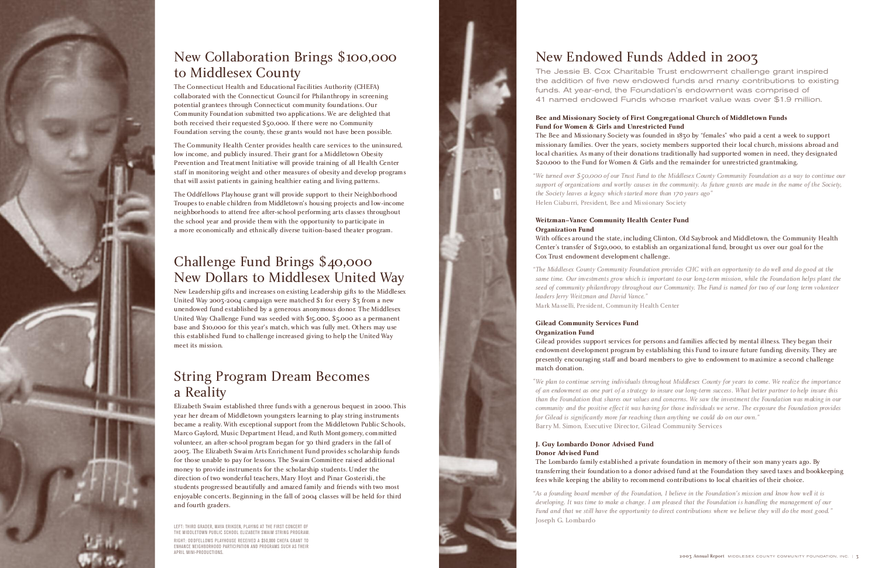

## New Collaboration Brings \$100,000 to Middlesex County

The Connecticut Health and Educational Facilities Authority (CHEFA) collaborated with the Connecticut Council for Philanthropy in screening potential grantees through Connecticut community foundations. Our Community Foundation submitted two applications. We are delighted that both received their requested \$50,000. If there were no Community Foundation serving the county, these grants would not have been possible.

The Community Health Center provides health care services to the uninsured, low income, and publicly insured. Their grant for a Middletown Obesity Prevention and Treatment Initiative will provide training of all Health Center staff in monitoring weight and other measures of obesity and develop programs that will assist patients in gaining healthier eating and living patterns.

The Oddfellows Playhouse grant will provide support to their Neighborhood Troupes to enable children from Middletown's housing projects and low-income neighborhoods to attend free after-school performing arts classes throughout the school year and provide them with the opportunity to participate in a more economically and ethnically diverse tuition-based theater program.

## Challenge Fund Brings \$40,000 New Dollars to Middlesex United Way

New Leadership gifts and increases on existing Leadership gifts to the Middlesex United Way 2003-2004 campaign were matched \$1 for every  $$5$  from a new unendowed fund established by a generous anonymous donor. The Middlesex United Way Challenge Fund was seeded with \$15,000, \$5,000 as a permanent base and \$10,000 for this year's match, which was fully met. Others may use this established Fund to challenge increased giving to help the United Way meet its mission.

# String Program Dream Becomes a Reality

Elizabeth Swaim established three funds with a generous bequest in 2000. This year her dream of Middletown youngsters learning to play string instruments became a reality. With exceptional support from the Middletown Public Schools, Marco Gaylord, Music Department Head, and Ruth Montgomery, committed volunteer, an after-school program began for 30 third graders in the fall of 2003. The Elizabeth Swaim Arts Enrichment Fund provides scholarship funds for those unable to pay for lessons. The Swaim Committee raised additional money to provide instruments for the scholarship students. Under the direction of two wonderful teachers, Mary Hoyt and Pinar Gosterisli, the students progressed beautifully and amazed family and friends with two most enjoyable concerts. Beginning in the fall of 2004 classes will be held for third and fourth graders.

LEFT: THIRD GRADER, MAYA ERIKSEN, PLAYING AT THE FIRST CONCERT OF THE MIDDLETOWN PUBLIC SCHOOL ELIZABETH SWAIM STRING PROGRAM. RIGHT: ODDFELLOWS PLAYHOUSE RECEIVED A \$50,000 CHEFA GRANT TO ENHANCE NEIGHBORHOOD PARTICIPATION AND PROGRAMS SUCH AS THEIR APRIL MINI-PRODUCTIONS.



# New Endowed Funds Added in 2003

The Jessie B. Cox Charitable Trust endowment challenge grant inspired the addition of five new endowed funds and many contributions to existing funds. At year-end, the Foundation's endowment was comprised of 41 named endowed Funds whose market value was over \$1.9 million.

*" We turned over \$*50,000 *of our Trust Fund to the Middlesex County Community Foundation as a way to continue our support of organizations and worthy causes in the community. As future grants are made in the name of the Society, the Society leaves a legacy which started more than* 170 *years ago"*  Helen Ciaburri, President, Bee and Missionary Society

**Bee and Missionary Society of First Congregational Church of Middletown Funds Fund for Women & Girls and Unrestricted Fund** The Bee and Missionary Society was founded in 1830 by "females" who paid a cent a week to support missionary families. Over the years, society members supported their local church, missions abroad and local charities. As many of their donations traditionally had supported women in need, they designated \$20,000 to the Fund for Women & Girls and the remainder for unrestricted grantmaking.

*" The Middlesex County Community Foundation provides CHC with an opportunity to do well and do good at the same time. Our investments grow which is important to our long-term mission, while the Foundation helps plant the seed of community philanthropy throughout our Community. The Fund is named for two of our long term volunteer leaders Jerry Weitzman and David Vance."* Mark Masselli, President, Community Health Center

### **Weitzman–Vance Community Health Center Fund Organization Fund**

*" We plan to continue serving individuals throughout Middlesex County for years to come. We realize the importance of an endowment as one part of a strategy to insure our long-term success. What better partner to help insure this than the Foundation that shares our values and concerns. We saw the investment the Foundation was making in our community and the positive effect it was having for those individuals we serve. The exposure the Foundation provides for Gilead is significantly more far reaching than anything we could do on our own."* Barry M. Simon, Executive Director, Gilead Community Services

With offices around the state, including Clinton, Old Saybrook and Middletown, the Community Health Center's transfer of \$150,000, to establish an organizational fund, brought us over our goal for the Cox Trust endowment development challenge.

*" As a founding board member of the Foundation, I believe in the Foundation's mission and know how well it is developing. It was time to make a change. I am pleased that the Foundation is handling the management of our Fund and that we still have the opportunity to direct contributions where we believe they will do the most good."* Joseph G. Lombardo

### **Gilead Community Services Fund Organization Fund**

### Gilead provides support services for persons and families affected by mental illness. They began their endowment development program by establishing this Fund to insure future funding diversity. They are presently encouraging staff and board members to give to endowment to maximize a second challenge

match donation.

### **J. Guy Lombardo Donor Advised Fund Donor Advised Fund**

### The Lombardo family established a private foundation in memory of their son many years ago. By transferring their foundation to a donor advised fund at the Foundation they saved taxes and bookkeeping fees while keeping the ability to recommend contributions to local charities of their choice.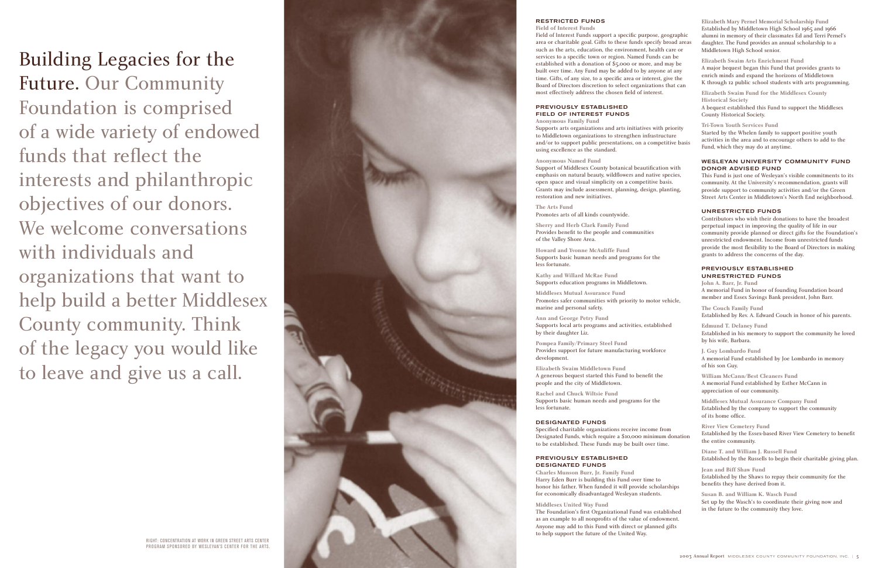Building Legacies for the Future. Our Community Foundation is comprised of a wide variety of endowed funds that reflect the interests and philanthropic objectives of our donors. We welcome conversations with individuals and organizations that want to help build a better Middlesex County community. Think of the legacy you would like to leave and give us a call.



### **RESTRICTED FUNDS**

**Field of Interest Funds** Field of Interest Funds support a specific purpose, geographic area or charitable goal. Gifts to these funds specify broad areas such as the arts, education, the environment, health care or services to a specific town or region. Named Funds can be established with a donation of \$5,000 or more, and may be built over time. Any Fund may be added to by anyone at any time. Gifts, of any size, to a specific area or interest, give the Board of Directors discretion to select organizations that can most effectively address the chosen field of interest.

## **PREVIOUSLY ESTABLISHED FIELD OF INTEREST FUNDS Anonymous Family Fund**

Supports arts organizations and arts initiatives with priority to Middletown organizations to strengthen infrastructure and/or to support public presentations, on a competitive basis using excellence as the standard.

#### **Anonymous Named Fund**

Support of Middlesex County botanical beautification with emphasis on natural beauty, wildflowers and native species, open space and visual simplicity on a competitive basis. Grants may include assessment, planning, design, planting, restoration and new initiatives.

**The Arts Fund** Promotes arts of all kinds countywide.

**Sherry and Herb Clark Family Fund** Provides benefit to the people and communities of the Valley Shore Area.

**Ho ward and Yvonne McAuliffe Fund** Supports basic human needs and programs for the less fortunate.

**Kathy and Willard McRae Fund** Supports education programs in Middletown.

#### **WESLEYAN UNIVERSITY COMMUNITY FUND DONOR ADVISED FUND**

The Foundation's first Organizational Fund was established as an example to all nonprofits of the value of endowment. Anyone may add to this Fund with direct or planned gifts to help support the future of the United Way.

**Elizabeth Mary Pernel Memorial Scholarship Fund** Established by Middletown High School 1965 and 1966 alumni in memory of their classmates Ed and Terri Pernel's daughter. The Fund provides an annual scholarship to a Middletown High School senior.

**Elizabeth Swaim Arts Enrichment Fund** A major bequest began this Fund that provides grants to enrich minds and expand the horizons of Middletown K through 12 public school students with arts programming.

**Elizabeth Swaim Fund for the Middlesex County Historical Society** A bequest established this Fund to support the Middlesex County Historical Society.

**Middlesex Mutual Assurance Fund** Promotes safer communities with priority to motor vehicle, marine and personal safety. **Ann and George Petry Fund** Suppor ts local ar ts programs and activities, established by their daughter Liz. **Pompea Family/Primary Steel Fund** Provides support for future manufacturing workforce development. **Elizabeth Swaim Middletown Fund** A generous bequest started this Fund to benefit the people and the city of Middletown. **Rachel and Chuck Wiltsie Fund** Supports basic human needs and programs for the less fortunate. **DESIGNATED FUNDS** Specified charitable organizations receive income from Designated Funds, which require a \$10,000 minimum donation to be established. These Funds may be built over time. **PREVIOUSLY ESTABLISHED DES IGNATED FUNDS Charles Munson Burr, Jr. Family Fund** Harry Eden Burr is building this Fund over time to honor his father. When funded it will provide scholarships for economically disadvantaged Wesleyan students. **Middlesex United Way Fund John A. Barr, Jr. Fund** A memorial Fund in honor of founding Foundation board member and Essex Savings Bank president, John Barr. **The Couch Family Fund** Established by Rev. A. Edward Couch in honor of his parents. **Edmund T. Delaney Fund** Established in his memory to support the community he loved by his wife, Barbara. **J. Guy Lombardo Fund** A memorial Fund established by Joe Lombardo in memory of his son Guy. **William McCann/Best Cleaners Fund** A memorial Fund established by Esther McCann in appreciation of our community. **Middlesex Mutual Assurance Company Fund** Established by the company to support the community of its home office. **River View Cemetery Fund** Established by the Essex-based River View Cemetery to benefit the entire community. **Diane T. and William J. Russell Fund** Established by the Russells to begin their charitable giving plan. **Jean and Biff Shaw Fund** Established by the Shaws to repay their community for the benefits they have derived from it. **Susan B. and William K. Wasch Fund** Set up by the Wasch's to coordinate their giving now and in the future to the community they love.

**Tri-Town Youth Services Fund**  Started by the Whelen family to support positive youth activities in the area and to encourage others to add to the Fund, which they may do at anytime.

This Fund is just one of Wesleyan's visible commitments to its community. At the University's recommendation, grants will provide support to community activities and/or the Green Street Arts Center in Middletown's North End neighborhood.

#### **UNRESTRICTED FUNDS**

Contributors who wish their donations to have the broadest perpetual impact in improving the quality of life in our community provide planned or direct gifts for the Foundation's unrestricted endowment. Income from unrestricted funds pr ovide the most flexibility to the Board of Directors in making grant s to addr ess the concerns of the day.

## **PREVIOUSLY ESTABLISHED UNRESTRICTED FUNDS**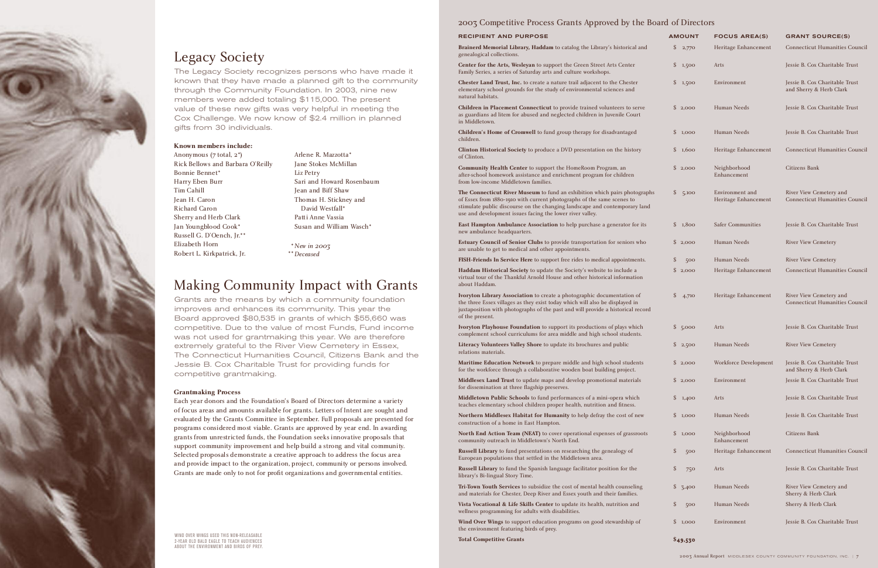#### **RECIPIENT AND PURPOSE**

Brainerd Memorial Library, Haddam to catalog the Library's historical and genealogical collections.

**Center for the Arts, Wesleyan** to support the Green Street Arts Center Family Series, a series of Saturday arts and culture workshops.

**Chester Land Trust, Inc.** to create a nature trail adjacent to the Chester elementary school grounds for the study of environmental sciences and natural habitats.

**Children in Placement Connecticut** to provide trained volunteers to serve as guardians ad litem for abused and neglected children in Juvenile Court in Middletown.

The Connecticut River Museum to fund an exhibition which pairs photographs of Essex from 1880-1910 with current photographs of the same scenes to stimulate public discourse on the changing landscape and contemporary landscape use and development issues facing the lower river valley.

**East Hampton Ambulance Association** to help purchase a generator for it new ambulance headquarters.

**Children's Home of Cromwell** to fund group therapy for disadvantaged children.

**Clinton Historical Society** to produce a DVD presentation on the history of Clinton.

**Community Health Center** to support the HomeRoom Program, an after-school homework assistance and enrichment program for children from low-income Middletown families.

North End Action Team (NEAT) to cover operational expenses of grassroot community outreach in Middletown's North End.

**Estuary Council of Senior Clubs** to provide transportation for seniors who are unable to get to medical and other appointments.

**FISH-Friends In Service Here** to support free rides to medical appointments.

**Haddam Historical Society** to update the Society's website to include a virtual tour of the Thankful Arnold House and other historical information about Haddam.

**Ivoryton Library Association** to create a photographic documentation of the three Essex villages as they exist today which will also be displayed in juxtaposition with photographs of the past and will provide a historical reco of the present.

**Ivoryton Playhouse Foundation** to support its productions of plays which complement school curriculums for area middle and high school students.

**Literacy Volunteers Valley Shore** to update its brochures and public relations materials.

**Maritime Education Network** to prepare middle and high school students for the workforce through a collaborative wooden boat building project.

**Middlesex Land Trust** to update maps and develop promotional materials for dissemination at three flagship preserves.

**Middletown Public Schools** to fund performances of a mini-opera which teaches elementary school children proper health, nutrition and fitness.

**Northern Middlesex Habitat for Humanity** to help defray the cost of new construction of a home in East Hampton.

**Russell Library** to fund presentations on researching the genealogy of European populations that settled in the Middletown area.

**Russell Library** to fund the Spanish language facilitator position for the library's Bi-lingual Story Time.

**Tri-Town Youth Services** to subsidize the cost of mental health counseling and materials for Chester, Deep River and Essex youth and their families.

**Vista Vocational & Life Skills Center** to update its health, nutrition and wellness programming for adults with disabilities.

**Wind Over Wings** to support education programs on good stewardship of the environment featuring birds of prey.

**Total Competitive Grants**

#### **\$**49,530

|              | <b>AMOUNT</b> |       | <b>FOCUS AREA(S)</b>                    | <b>GRANT SOURCE(S)</b>                                           |  |  |  |
|--------------|---------------|-------|-----------------------------------------|------------------------------------------------------------------|--|--|--|
| d            | \$            | 2,770 | Heritage Enhancement                    | <b>Connecticut Humanities Council</b>                            |  |  |  |
|              | \$            | 1,500 | Arts                                    | Jessie B. Cox Charitable Trust                                   |  |  |  |
|              | \$            | 1,500 | Environment                             | Jessie B. Cox Charitable Trust<br>and Sherry & Herb Clark        |  |  |  |
|              | \$            | 2,000 | Human Needs                             | Jessie B. Cox Charitable Trust                                   |  |  |  |
|              | S             | 1,000 | Human Needs                             | Jessie B. Cox Charitable Trust                                   |  |  |  |
|              | \$            | 1,600 | Heritage Enhancement                    | <b>Connecticut Humanities Council</b>                            |  |  |  |
|              | \$            | 2,000 | Neighborhood<br>Enhancement             | Citizens Bank                                                    |  |  |  |
| ıphs<br>nd   | \$            | 5,100 | Environment and<br>Heritage Enhancement | River View Cemetery and<br><b>Connecticut Humanities Council</b> |  |  |  |
| S            | \$            | 1,800 | <b>Safer Communities</b>                | Jessie B. Cox Charitable Trust                                   |  |  |  |
| $\mathbf{)}$ | S             | 2,000 | Human Needs                             | <b>River View Cemetery</b>                                       |  |  |  |
|              | \$            | 500   | Human Needs                             | <b>River View Cemetery</b>                                       |  |  |  |
|              | \$            | 2,000 | Heritage Enhancement                    | <b>Connecticut Humanities Council</b>                            |  |  |  |
| ırd          | \$            | 4,710 | Heritage Enhancement                    | River View Cemetery and<br><b>Connecticut Humanities Council</b> |  |  |  |
|              | \$            | 5,000 | Arts                                    | Jessie B. Cox Charitable Trust                                   |  |  |  |
|              | \$            | 2,500 | Human Needs                             | <b>River View Cemetery</b>                                       |  |  |  |
|              | \$            | 2,000 | Workforce Development                   | Jessie B. Cox Charitable Trust<br>and Sherry & Herb Clark        |  |  |  |
|              | \$            | 2,000 | Environment                             | Jessie B. Cox Charitable Trust                                   |  |  |  |
|              | \$            | 1,400 | Arts                                    | Jessie B. Cox Charitable Trust                                   |  |  |  |
|              | \$            | 1,000 | Human Needs                             | Jessie B. Cox Charitable Trust                                   |  |  |  |
| S            | \$            | 1,000 | Neighborhood<br>Enhancement             | <b>Citizens Bank</b>                                             |  |  |  |
|              | \$            | 500   | Heritage Enhancement                    | <b>Connecticut Humanities Council</b>                            |  |  |  |
|              | \$            | 750   | Arts                                    | Jessie B. Cox Charitable Trust                                   |  |  |  |
|              | \$            | 3,400 | Human Needs                             | River View Cemetery and<br>Sherry & Herb Clark                   |  |  |  |
|              | \$            | 500   | Human Needs                             | Sherry & Herb Clark                                              |  |  |  |
|              | \$            | 1,000 | Environment                             | Jessie B. Cox Charitable Trust                                   |  |  |  |
|              |               |       |                                         |                                                                  |  |  |  |

### 2003 Competitive Process Grants Approved by the Board of Directors

# Legacy Society

The Legacy Society recognizes persons who have made it known that they have made a planned gift to the community through the Community Foundation. In 2003, nine new members were added totaling \$115,000. The present value of these new gifts was very helpful in meeting the Cox Challenge. We now know of \$2.4 million in planned gifts from 30 individuals.

# Making Community Impact with Grants

Grants are the means by which a community foundation improves and enhances its community. This year the Board approved \$80,535 in grants of which \$55,660 was competitive. Due to the value of most Funds, Fund income was not used for grantmaking this year. We are therefore extremely grateful to the River View Cemetery in Essex, The Connecticut Humanities Council, Citizens Bank and the Jessie B. Cox Charitable Trust for providing funds for competitive grantmaking.

### **Grantmaking Process**

Each year donors and the Foundation's Board of Directors determine a variety of focus areas and amounts available for grants. Letters of Intent are sought and evaluated by the Grants Committee in September. Full proposals are presented for programs considered most viable. Grants are approved by year end. In awarding grants from unrestricted funds, the Foundation seeks innovative proposals that support community improvement and help build a strong and vital community. Selected proposals demonstrate a creative approach to address the focus area and provide impact to the organization, project, community or persons involved. Grants are made only to not for profit organizations and governmental entities.

### **Known members include:**

Anonymous (7 total, 2\*) Rick Bellows and Barbara O'Reilly Bonnie Bennet\* Harry Eben Burr Tim Cahill Jean H. Caron Richard Caron Sherry and Herb Clark Jan Youngblood Cook\* Russell G. D'Oench, Jr.\*\* Elizabeth Horn Robert L. Kirkpatrick, Jr.

Arlene R. Mazzotta\* Jane Stokes McMillan Liz Petry Sari and Howard Rosenbaum Jean and Biff Shaw Thomas H. Stickney and David Westfall\* Patti Anne Vassia Susan and William Wasch\*

*New in* 2003 \* *Deceased*  \*\*

WIND OVER WINGS USED THIS NON-RELEASABLE 2-YEAR OLD BALD EAGLE TO TEACH AUDIENCES ABOUT THE ENVIRONMENT AND BIRDS OF PREY.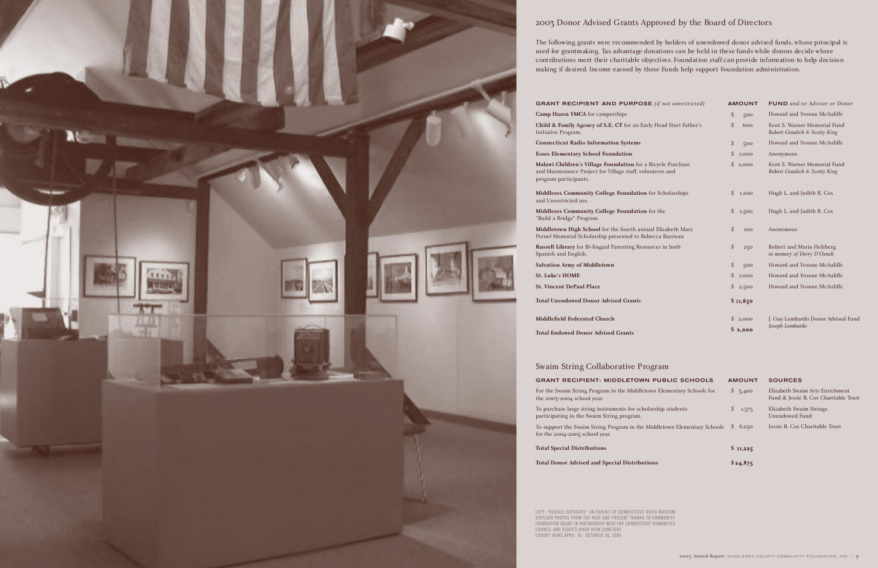**Child & Family Agency of S.E. CT** for an Ea Initiative Program.

**Camp Hazen YMCA** for camperships

**Malawi Children's Village Foundation** for a and Maintenance Project for Village staff, volu program participants.

**Connecticut Radio Information Systems**

**Middlesex Community College Foundation** and Unrestricted use.

**Essex Elementary School Foundation** 

**Middlesex Community College Foundation** "Build a Bridge" Program.

**Middletown High School** for the fourth ann Pernel Memorial Scholarship presented to Re

**Russell Library** for Bi-lingual Parenting Resources Spanish and English.

**Salvation Army of Middletown**

**St. Luke's HOME** 

**St. Vincent DePaul Place** 

**Total Unendowed Donor Advised Grants**

**Middlefield Federated Church**

**Total Endowed Donor Advised Grants**

For the Swaim String Program in the Middlet the 2003-2004 school year.

To purchase large string instruments for sch participating in the Swaim String program.

To support the Swaim String Program in the for the 2004-2005 school year.

| $SE$ (if not unrestricted)             | <b>AMOUNT</b> |          | <b>FUND</b> and/or Advisor or Donor                           |  |  |
|----------------------------------------|---------------|----------|---------------------------------------------------------------|--|--|
|                                        | \$            | 500      | Howard and Yvonne McAuliffe                                   |  |  |
| arly Head Start Father's               | \$            | 600      | Kent S. Warner Memorial Fund<br>Robert Graulich & Scotty King |  |  |
|                                        | $\mathcal{S}$ | 500      | Howard and Yvonne McAuliffe                                   |  |  |
|                                        | $\mathcal{S}$ | 1,000    | Anonymous                                                     |  |  |
| a Bicycle Purchase<br>lunteers and     | $\mathcal{S}$ | 2,000    | Kent S. Warner Memorial Fund<br>Robert Graulich & Scotty King |  |  |
| <b>1</b> for Scholarships              | $\mathcal{S}$ | 1,200    | Hugh L. and Judith R. Cox                                     |  |  |
| <b>1</b> for the                       | \$            | 1,500    | Hugh L. and Judith R. Cox                                     |  |  |
| nual Elizabeth Mary<br>ebecca Barrieau | \$            | 100      | Anonymous                                                     |  |  |
| ources in both                         | \$            | 250      | Robert and Maria Holzberg<br>in memory of Derry D'Oench       |  |  |
|                                        | \$            | 500      | Howard and Yvonne McAuliffe                                   |  |  |
|                                        | $\mathcal{S}$ | 1,000    | Howard and Yvonne McAuliffe                                   |  |  |
|                                        | $\mathcal{S}$ | 2,500    | Howard and Yvonne McAuliffe                                   |  |  |
|                                        |               | \$11,650 |                                                               |  |  |
|                                        | \$            | 2,000    | J. Guy Lombardo Donor Advised Fund                            |  |  |
|                                        |               | \$2,000  | Joseph Lombardo                                               |  |  |
|                                        |               |          |                                                               |  |  |



## 2003 Donor Advised Grants Approved by the Board of Directors

The following grants were recommended by holders of unendowed donor advised funds, whose principal is used for grantmaking. Tax advantage donations can be held in these funds while donors decide where contributions meet their charitable objectives. Foundation staff can provide information to help decision making if desired. Income earned by these Funds help support Foundation administration.

### **GRANT RECIPIENT AND PURPOS**

**Total Special Distributions**

**Total Donor Advised and Special Distributions** 

| <b>N PUBLIC SCHOOLS</b>       | <b>AMOUNT</b> | <b>SOURCES</b>                                                           |
|-------------------------------|---------------|--------------------------------------------------------------------------|
| town Elementary Schools for   | S.<br>3,400   | Elizabeth Swaim Arts Enrichment<br>Fund & Jessie B. Cox Charitable Trust |
| olarship students             | \$<br>1,575   | Elizabeth Swaim Strings<br>Unendowed Fund                                |
| Middletown Elementary Schools | 6,250<br>S.   | Jessie B. Cox Charitable Trust                                           |
|                               | \$11,225      |                                                                          |
| tions                         | \$24,875      |                                                                          |

## Swaim String Collaborative Program

### **GRANT RECIPIENT: MIDDLETOW**

LEFT: "DOUBLE EXPOSURE" AN EXHIBIT AT CONNECTICUT RIVER MUSEUM DISPLAYS PHOTOS FROM THE PAST AND PRESENT THANKS TO COMMUNITY FOUNDATION GRANT IN PARTNERSHIP WITH THE CONNECTICUT HUMANITIES COUNCIL AND ESSEX'S RIVER VIEW CEMETERY. EXHIBIT RUNS APRIL 16 - OCTOBER 30, 2004.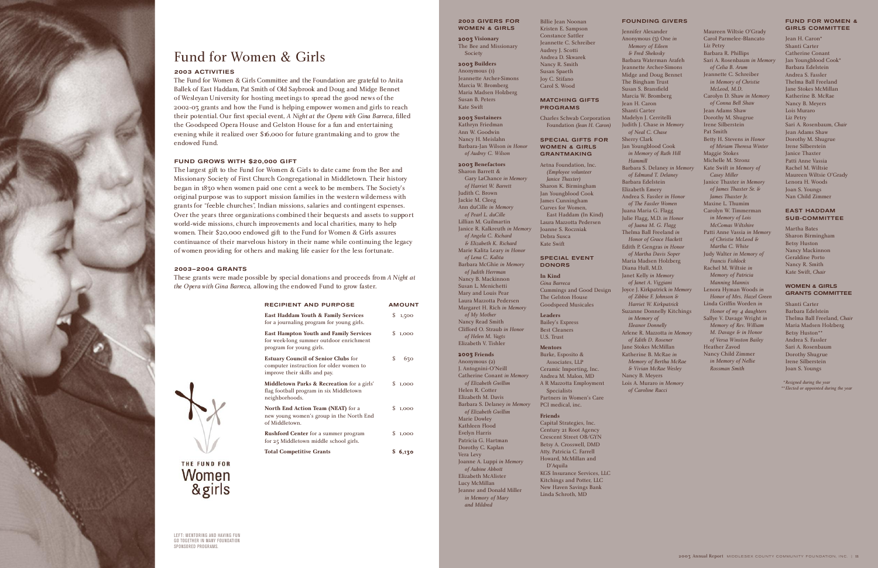#### **2003 GIVERS FOR WOMEN & GIRLS**

2003 **Visionary** The Bee and Missionary Society

#### 2003 **Builders**

Anonymous (1) Jeannette Archer-Simons Marcia W. Bromberg Maria Madsen Holzberg Susan B. Peters Kate Swift

2003 **Sustainers** Kathryn Friedman Ann W. Goodwin Nancy H. Meislahn Barbara-Jan Wilson *in Honor of Audrey C. Wilson* 

#### 2003 **Benefactors**

Sharon Barrett & Gary LaChance *in Memory of Harriet W. Barrett* Judith C. Brown Jackie M. Cleeg Ann duCille *in Memory of Pearl L. duCille*  Lillian M. Guilmartin Janice R. Kalkreuth *in Memory of Angela C. Richard & Elizabeth K. Richard* Marie Kalita Leary *in Honor of Lena C. Kalita*  Barbara McGhie *in Memory of Judith Herrman* Nancy B. Mackinnon Susan L. Menichetti Mary and Louis Pear Laura Mazzotta Pedersen Margaret H. Rich *in Memory of My Mother* Nancy Read Smith Clifford O. Straub *in Honor of Helen M. Vagts* Elizabeth V. Tishler

#### 2003 **Friends**

Anonymous (2) J. Antognini-O'Neill Catherine Conant *in Memory of Elizabeth Gwillim* Helen R. Cotter Elizabeth M. Davis Barbara S. Delaney *in Memory of Elizabeth Gwillim* Marie Dowley Kathleen Flood Evelyn Harris Patricia G. Hartman Dorothy C. Kaplan Vera Levy Joanne A. Luppi *in Memory of Aubine Abbott*  Elizabeth McAlister Lucy McMillan Jeanne and Donald Miller *in Memory of Mary and Mildred*

Billie Jean Noonan Kristen E. Sampson Constance Sattler Jeannette C. Schreiber Audrey J. Scotti Andrea D. Skwarek Nancy R. Smith Susan Spaeth Joy C. Stifano Carol S. Wood

**MATCHING GIFTS PROGRAMS**

Charles Schwab Corporation Foundation *(Jean H. Caron)*

**SPECIAL GIFTS FOR WOMEN & GIRLS GRANTMAKING**  Aetna Foundation, Inc. *(Employee volunteer Janice Thaxter)* Sharon K. Birmingham Jan Youngblood Cook James Cunningham Curves for Women, East Haddam (In Kind) Laura Mazzotta Pedersen Joanne S. Roczniak Debra Susca Kate Swift

**SPECIAL EVENT DONORS In Kind** *Gina Barreca*

Cummings and Good Design The Gelston House Goodspeed Musicales

**Leaders** Bailey's Express Best Cleaners U.S. Trust **Mentors**

Burke, Esposito & Associates, LLP Ceramic Importing, Inc. Andrea M. Malon, MD A R Mazzotta Employment Specialists Partners in Women's Care PCI medical, inc.

#### **Friends**

Capital Strategies, Inc. Century 21 Root Agency Crescent Street OB/GYN Betsy A. Crosswell, DMD Atty. Patricia C. Farrell Howard, McMillan and D'Aquila KGS Insurance Services, LLC Kitchings and Potter, LLC New Haven Savings Bank Linda Schroth, MD

### **FOUNDING GIVERS**

Jennifer Alexander Anonymous (3) One *in Memory of Eileen & Fred Shekosky* Barbara Waterman Arafeh Jeannette Archer-Simons Midge and Doug Bennet The Bingham Trust Susan S. Bransfield Marcia W. Bromberg Jean H. Caron Shanti Carter Madelyn J. Cerritelli Judith J. Chase *in Memory of Neal C. Chase* Sherry Clark Jan Youngblood Cook *in Memory of Ruth Hill Hammill* Barbara S. Delaney *in Memory of Edmund T. Delaney* Barbara Edelstein Elizabeth Emery Andrea S. Fassler *in Honor of The Fassler Women* Juana Maria G. Flagg Julie Flagg, M.D. *in Honor of Juana M. G. Flagg* Thelma Ball Freeland *in Honor of Grace Hackett* Edith P. Gengras *in Honor of Martha Davis Soper* Maria Madsen Holzberg Diana Hull, M.D. Janet Kelly *in Memory of Janet A. Viggiani* Joyce J. Kirkpatrick *in Memory of Zibbie F. Johnson & Harriet W. Kirkpatrick* Suzanne Donnelly Kitchings *in Memory of Eleanor Donnelly* Arlene R. Mazzotta *in Memory of Edith D. Rosener* Jane Stokes McMillan Katherine B. McRae *in Memory of Bertha McRae & Vivian McRae Wesley* Nancy B. Meyers Lois A. Muraro *in Memory* 

*of Caroline Rucci*

Maureen Wiltsie O'Grady Carol Parmelee-Blancato Liz Petry Barbara R. Phillips Sari A. Rosenbaum *in Memory of Celia B. Arum* Jeannette C. Schreiber *in Memory of Christie McLeod, M.D.* Carolyn D. Shaw *in Memory of Conna Bell Shaw* Jean Adams Shaw Dorothy M. Shugrue Irene Silberstein Pat Smith Betty H. Stevens *in Honor of Miriam Theresa Winter* Maggie Stokes Michelle M. Stronz Kate Swift *in Memory of Casey Miller* Janice Thaxter *in Memory of James Thaxter Sr. & James Thaxter Jr.* Maxine L. Thumim Carolyn W. Timmerman *in Memory of Lois McComas Wiltshire* Patti Anne Vassia *in Memory of Christie McLeod & Martha C. White* Judy Walter *in Memory of Francis Fishlock* Rachel M. Wiltsie *in Memory of Patricia Manning Mannix* Lenora Hyman Woods *in Honor of Mrs. Hazel Green* Linda Griffin Worden *in Honor of my* 4 *daughters* Sallye V. Davage Wright *in Memory of Rev. William M. Davage & in Honor of Versa Winston Bailey* Heather Zavod Nancy Child Zimmer *in Memory of Nellie Rossman Smith* 

#### **FUND FOR WOMEN & GIRLS COMMITTEE**

Jean H. Caron\* Shanti Carter Catherine Conant Jan Youngblood Cook\* Barbara Edelstein Andrea S. Fassler Thelma Ball Freeland Jane Stokes McMillan Katherine B. McRae Nancy B. Meyers Lois Muraro Liz Petry Sari A. Rosenbaum, *Chair* Jean Adams Shaw Dorothy M. Shugrue Irene Silberstein Janice Thaxter Patti Anne Vassia Rachel M. Wiltsie Maureen Wiltsie O'Grady Lenora H. Woods Joan S. Youngs Nan Child Zimmer

#### **EAST HADDAM SUB-COMMITTEE**

Martha Bates Sharon Birmingham Betsy Huston Nancy Mackinnon Geraldine Porto Nancy R. Smith Kate Swift, *Chair*

#### **WOMEN & GIRLS GRANTS COMMITTEE**

Shanti Carter Barbara Edelstein Thelma Ball Freeland, *Chair* Maria Madsen Holzberg Betsy Huston\*\* Andrea S. Fassler Sari A. Rosenbaum Dorothy Shugrue Irene Silberstein Joan S. Youngs



# Fund for Women & Girls

#### **2003 ACTIVITIES**

The Fund for Women & Girls Committee and the Foundation are grateful to Anita Ballek of East Haddam, Pat Smith of Old Saybrook and Doug and Midge Bennet of Wesleyan University for hosting meetings to spread the good news of the 2002-03 grants and how the Fund is helping empower women and girls to reach their potential. Our first special event, *A Night at the Opera with Gina Barreca*, filled the Goodspeed Opera House and Gelston House for a fun and entertaining evening while it realized over \$16,000 for future grantmaking and to grow the endowed Fund.

### **FUND GROWS WITH \$20,000 GIFT**

The largest gift to the Fund for Women & Girls to date came from the Bee and Missionary Society of First Church Congregational in Middletown. Their history began in 1830 when women paid one cent a week to be members. The Society's original purpose was to support mission families in the western wilderness with grants for "feeble churches", Indian missions, salaries and contingent expenses. Over the years three organizations combined their bequests and assets to support world-wide missions, church improvements and local charities, many to help women. Their \$20,000 endowed gift to the Fund for Women & Girls assures continuance of their marvelous history in their name while continuing the legacy of women providing for others and making life easier for the less fortunate.

*Resigned during the year \** 

*Elected or appointed during the year* \*\*

#### **2003–2004 GRANTS**

These grants were made possible by special donations and proceeds from *A Night at the Opera with Gina Barreca*, allowing the endowed Fund to grow faster.

| <b>RECIPIENT AND PURPOSE</b>                                                                                           | <b>AMOUNT</b> |  |  |
|------------------------------------------------------------------------------------------------------------------------|---------------|--|--|
| East Haddam Youth & Family Services<br>for a journaling program for young girls.                                       | S.<br>1,500   |  |  |
| <b>East Hampton Youth and Family Services</b><br>for week-long summer outdoor enrichment<br>program for young girls.   | \$<br>1,000   |  |  |
| <b>Estuary Council of Senior Clubs for</b><br>computer instruction for older women to<br>improve their skills and pay. | \$<br>630     |  |  |
| <b>Middletown Parks &amp; Recreation</b> for a girls'<br>flag football program in six Middletown<br>neighborhoods.     | S.<br>1.000   |  |  |
| North End Action Team (NEAT) for a<br>new young women's group in the North End<br>of Middletown.                       | S.<br>1,000   |  |  |
| <b>Rushford Center</b> for a summer program<br>for 25 Middletown middle school girls.                                  | S.<br>1,000   |  |  |
| <b>Total Competitive Grants</b>                                                                                        | 6,130         |  |  |

LEFT: MENTORING AND HAVING FUN GO TOGETHER IN MANY FOUNDATION SPONSORED PROGRAMS.

THE FUND FOR Women &girls